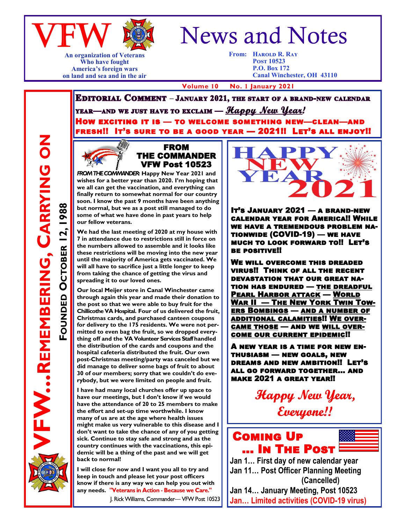

**An organization of Veterans Who have fought America's foreign wars on land and sea and in the air**

# News and Notes

**From: Harold R. Ray Post 10523 P.O. Box 172 Canal Winchester, OH 43110**

 **Volume 10 No. 1 January 2021**

**EDITORIAL COMMENT** - JANUARY 2021, THE START OF A BRAND-NEW CALENDAR YEAR—AND WE JUST HAVE TO EXCLAIM — *Happy New Year!* HOW EXCITING IT IS - TO WELCOME SOMETHING NEW-CLEAN-AND FRESH!! IT'S SURE TO BE A GOOD YEAR — 2021!! LET'S ALL ENJOY!!



FROM THE COMMANDER VFW Post 10523

FROM THE COMMANDER: Happy New Year 2021 and **wishes for a better year than 2020. I'm hoping that we all can get the vaccination, and everything can finally return to somewhat normal for our country soon. I know the past 9 months have been anything but normal, but we as a post still managed to do some of what we have done in past years to help our fellow veterans.**

**We had the last meeting of 2020 at my house with 7 in attendance due to restrictions still in force on the numbers allowed to assemble and it looks like these restrictions will be moving into the new year until the majority of America gets vaccinated. We will all have to sacrifice just a little longer to keep from taking the chance of getting the virus and spreading it to our loved ones.**

**Our local Meijer store in Canal Winchester came through again this year and made their donation to the post so that we were able to buy fruit for the Chillicothe VA Hospital. Four of us delivered the fruit, Christmas cards, and purchased canteen coupons for delivery to the 175 residents. We were not permitted to even bag the fruit, so we dropped everything off and the VA Volunteer Services Staff handled the distribution of the cards and coupons and the hospital cafeteria distributed the fruit. Our own post-Christmas meeting/party was canceled but we did manage to deliver some bags of fruit to about 30 of our members; sorry that we couldn't do everybody, but we were limited on people and fruit.**

**I have had many local churches offer up space to have our meetings, but I don't know if we would have the attendance of 20 to 25 members to make the effort and set-up time worthwhile. I know many of us are at the age where health issues might make us very vulnerable to this disease and I don't want to take the chance of any of you getting sick. Continue to stay safe and strong and as the country continues with the vaccinations, this epidemic will be a thing of the past and we will get back to normal!**

**I will close for now and I want you all to try and keep in touch and please let your post officers know if there is any way we can help you out with any needs.** 

J. Rick Williams, Commander-VFW Post 10523



It's January 2021 — a brand-new calendar year for America!! While we have a tremendous problem nationwide (COVID-19) — we have much to look forward to!! Let's be positive!!

We will overcome this dreaded virus!! Think of all the recent devastation that our great nation has endured — the dreadful Pearl Harbor attack — World War II — The New York Twin Towers Bombings — and a number of additional calamities!! We overcame those — and we will overcome our current epidemic!!

A new year is a time for new enthusiasm — new goals, new dreams and new ambition!! Let's all go forward together… and make 2021 a great year!!

> **Happy New Year,** Everyone!!

## Coming Up … In The Post

**Jan 1… First day of new calendar year Jan 11… Post Officer Planning Meeting (Cancelled) Jan 14… January Meeting, Post 10523**

**Jan… Limited activities (COVID-19 virus)**

**REMEMBERING, CARRYING ON FW...REMEMBERING, CARRYING ON** 1988 **OCTOBER 12, 1988** OCTOBER 12, **FOUNDED**